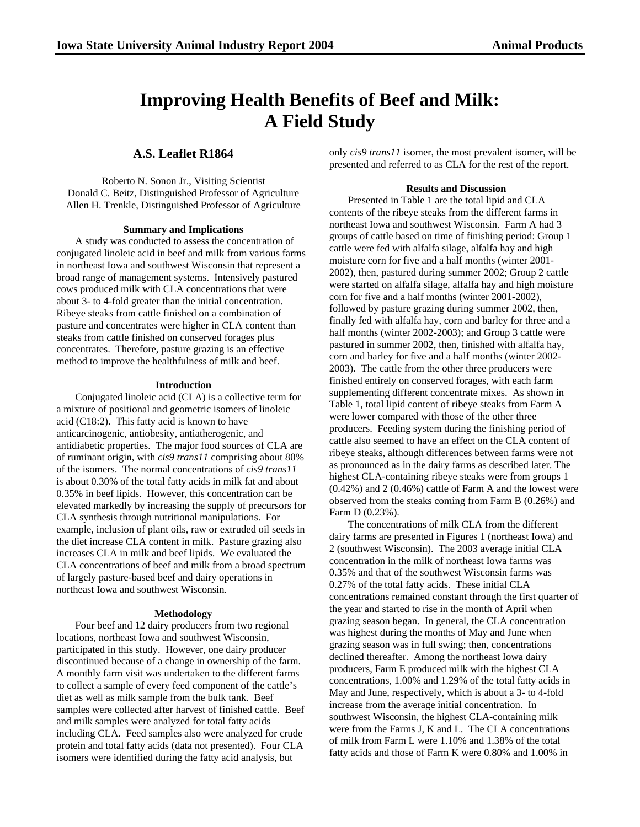# **Improving Health Benefits of Beef and Milk: A Field Study**

**A.S. Leaflet R1864**

Roberto N. Sonon Jr., Visiting Scientist Donald C. Beitz, Distinguished Professor of Agriculture Allen H. Trenkle, Distinguished Professor of Agriculture

# **Summary and Implications**

A study was conducted to assess the concentration of conjugated linoleic acid in beef and milk from various farms in northeast Iowa and southwest Wisconsin that represent a broad range of management systems. Intensively pastured cows produced milk with CLA concentrations that were about 3- to 4-fold greater than the initial concentration. Ribeye steaks from cattle finished on a combination of pasture and concentrates were higher in CLA content than steaks from cattle finished on conserved forages plus concentrates. Therefore, pasture grazing is an effective method to improve the healthfulness of milk and beef.

## **Introduction**

Conjugated linoleic acid (CLA) is a collective term for a mixture of positional and geometric isomers of linoleic acid (C18:2). This fatty acid is known to have anticarcinogenic, antiobesity, antiatherogenic, and antidiabetic properties. The major food sources of CLA are of ruminant origin, with *cis9 trans11* comprising about 80% of the isomers. The normal concentrations of *cis9 trans11* is about 0.30% of the total fatty acids in milk fat and about 0.35% in beef lipids. However, this concentration can be elevated markedly by increasing the supply of precursors for CLA synthesis through nutritional manipulations. For example, inclusion of plant oils, raw or extruded oil seeds in the diet increase CLA content in milk. Pasture grazing also increases CLA in milk and beef lipids. We evaluated the CLA concentrations of beef and milk from a broad spectrum of largely pasture-based beef and dairy operations in northeast Iowa and southwest Wisconsin.

#### **Methodology**

Four beef and 12 dairy producers from two regional locations, northeast Iowa and southwest Wisconsin, participated in this study. However, one dairy producer discontinued because of a change in ownership of the farm. A monthly farm visit was undertaken to the different farms to collect a sample of every feed component of the cattle's diet as well as milk sample from the bulk tank. Beef samples were collected after harvest of finished cattle. Beef and milk samples were analyzed for total fatty acids including CLA. Feed samples also were analyzed for crude protein and total fatty acids (data not presented). Four CLA isomers were identified during the fatty acid analysis, but

only *cis9 trans11* isomer, the most prevalent isomer, will be presented and referred to as CLA for the rest of the report.

## **Results and Discussion**

Presented in Table 1 are the total lipid and CLA contents of the ribeye steaks from the different farms in northeast Iowa and southwest Wisconsin. Farm A had 3 groups of cattle based on time of finishing period: Group 1 cattle were fed with alfalfa silage, alfalfa hay and high moisture corn for five and a half months (winter 2001- 2002), then, pastured during summer 2002; Group 2 cattle were started on alfalfa silage, alfalfa hay and high moisture corn for five and a half months (winter 2001-2002), followed by pasture grazing during summer 2002, then, finally fed with alfalfa hay, corn and barley for three and a half months (winter 2002-2003); and Group 3 cattle were pastured in summer 2002, then, finished with alfalfa hay, corn and barley for five and a half months (winter 2002- 2003). The cattle from the other three producers were finished entirely on conserved forages, with each farm supplementing different concentrate mixes. As shown in Table 1, total lipid content of ribeye steaks from Farm A were lower compared with those of the other three producers. Feeding system during the finishing period of cattle also seemed to have an effect on the CLA content of ribeye steaks, although differences between farms were not as pronounced as in the dairy farms as described later. The highest CLA-containing ribeye steaks were from groups 1 (0.42%) and 2 (0.46%) cattle of Farm A and the lowest were observed from the steaks coming from Farm B (0.26%) and Farm D (0.23%).

The concentrations of milk CLA from the different dairy farms are presented in Figures 1 (northeast Iowa) and 2 (southwest Wisconsin). The 2003 average initial CLA concentration in the milk of northeast Iowa farms was 0.35% and that of the southwest Wisconsin farms was 0.27% of the total fatty acids. These initial CLA concentrations remained constant through the first quarter of the year and started to rise in the month of April when grazing season began. In general, the CLA concentration was highest during the months of May and June when grazing season was in full swing; then, concentrations declined thereafter. Among the northeast Iowa dairy producers, Farm E produced milk with the highest CLA concentrations, 1.00% and 1.29% of the total fatty acids in May and June, respectively, which is about a 3- to 4-fold increase from the average initial concentration. In southwest Wisconsin, the highest CLA-containing milk were from the Farms J, K and L. The CLA concentrations of milk from Farm L were 1.10% and 1.38% of the total fatty acids and those of Farm K were 0.80% and 1.00% in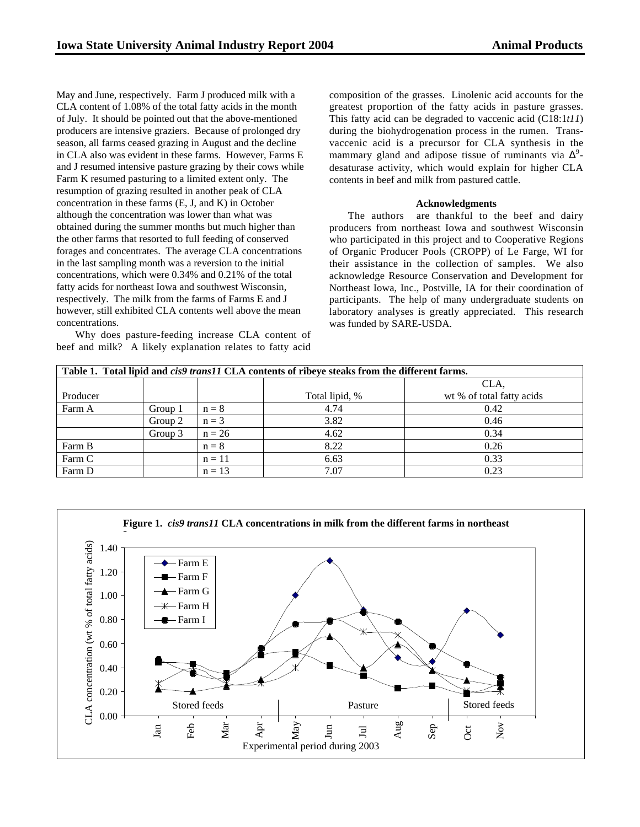May and June, respectively. Farm J produced milk with a CLA content of 1.08% of the total fatty acids in the month of July. It should be pointed out that the above-mentioned producers are intensive graziers. Because of prolonged dry season, all farms ceased grazing in August and the decline in CLA also was evident in these farms. However, Farms E and J resumed intensive pasture grazing by their cows while Farm K resumed pasturing to a limited extent only. The resumption of grazing resulted in another peak of CLA concentration in these farms (E, J, and K) in October although the concentration was lower than what was obtained during the summer months but much higher than the other farms that resorted to full feeding of conserved forages and concentrates. The average CLA concentrations in the last sampling month was a reversion to the initial concentrations, which were 0.34% and 0.21% of the total fatty acids for northeast Iowa and southwest Wisconsin, respectively. The milk from the farms of Farms E and J however, still exhibited CLA contents well above the mean concentrations.

Why does pasture-feeding increase CLA content of beef and milk? A likely explanation relates to fatty acid composition of the grasses. Linolenic acid accounts for the greatest proportion of the fatty acids in pasture grasses. This fatty acid can be degraded to vaccenic acid (C18:1*t11*) during the biohydrogenation process in the rumen. Transvaccenic acid is a precursor for CLA synthesis in the mammary gland and adipose tissue of ruminants via  $\Delta^9$ desaturase activity, which would explain for higher CLA contents in beef and milk from pastured cattle.

## **Acknowledgments**

The authors are thankful to the beef and dairy producers from northeast Iowa and southwest Wisconsin who participated in this project and to Cooperative Regions of Organic Producer Pools (CROPP) of Le Farge, WI for their assistance in the collection of samples. We also acknowledge Resource Conservation and Development for Northeast Iowa, Inc., Postville, IA for their coordination of participants. The help of many undergraduate students on laboratory analyses is greatly appreciated. This research was funded by SARE-USDA.

| Table 1. Total lipid and cis9 trans11 CLA contents of ribeye steaks from the different farms. |         |          |                |                           |
|-----------------------------------------------------------------------------------------------|---------|----------|----------------|---------------------------|
|                                                                                               |         |          |                | CLA.                      |
| Producer                                                                                      |         |          | Total lipid, % | wt % of total fatty acids |
| Farm A                                                                                        | Group 1 | $n = 8$  | 4.74           | 0.42                      |
|                                                                                               | Group 2 | $n = 3$  | 3.82           | 0.46                      |
|                                                                                               | Group 3 | $n = 26$ | 4.62           | 0.34                      |
| Farm B                                                                                        |         | $n = 8$  | 8.22           | 0.26                      |
| Farm C                                                                                        |         | $n = 11$ | 6.63           | 0.33                      |
| Farm D                                                                                        |         | $n = 13$ | 7.07           | 0.23                      |